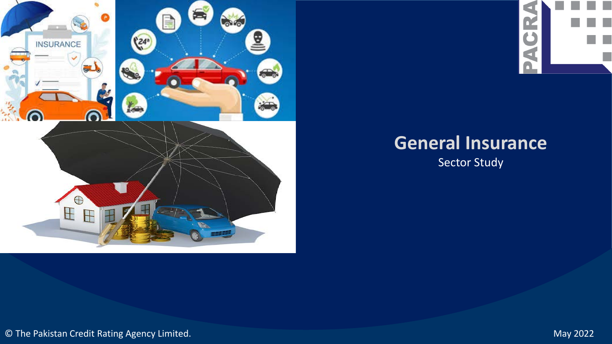





# **General Insurance**

Sector Study

© The Pakistan Credit Rating Agency Limited. May 2022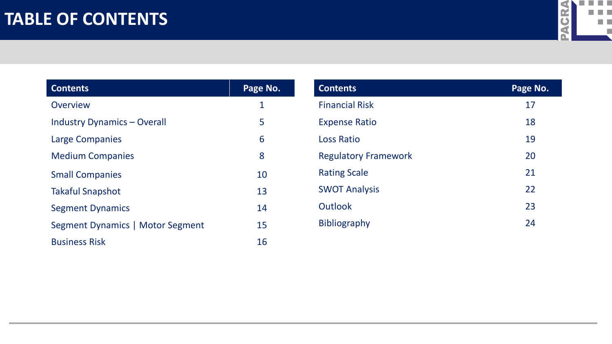### **TABLE OF CONTENTS**



| <b>Contents</b>                    | Page No. |
|------------------------------------|----------|
| Overview                           | 1        |
| <b>Industry Dynamics - Overall</b> | 5        |
| Large Companies                    | 6        |
| <b>Medium Companies</b>            | 8        |
| <b>Small Companies</b>             | 10       |
| <b>Takaful Snapshot</b>            | 13       |
| <b>Segment Dynamics</b>            | 14       |
| Segment Dynamics   Motor Segment   | 15       |
| <b>Business Risk</b>               | 16       |

| <b>Contents</b>             | Page No. |
|-----------------------------|----------|
| <b>Financial Risk</b>       | 17       |
| <b>Expense Ratio</b>        | 18       |
| <b>Loss Ratio</b>           | 19       |
| <b>Regulatory Framework</b> | 20       |
| <b>Rating Scale</b>         | 21       |
| <b>SWOT Analysis</b>        | 22       |
| Outlook                     | 23       |
| <b>Bibliography</b>         | 24       |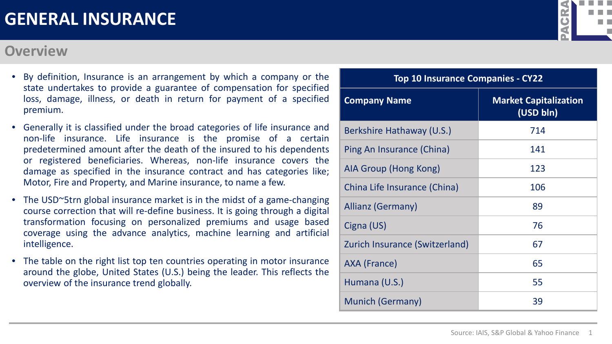- By definition, Insurance is an arrangement by which a company or the state undertakes to provide a guarantee of compensation for specified loss, damage, illness, or death in return for payment of a specified premium.
- Generally it is classified under the broad categories of life insurance and non-life insurance. Life insurance is the promise of a certain predetermined amount after the death of the insured to his dependents or registered beneficiaries. Whereas, non-life insurance covers the damage as specified in the insurance contract and has categories like; Motor, Fire and Property, and Marine insurance, to name a few.
- The USD~5trn global insurance market is in the midst of a game-changing course correction that will re-define business. It is going through a digital transformation focusing on personalized premiums and usage based coverage using the advance analytics, machine learning and artificial intelligence.
- The table on the right list top ten countries operating in motor insurance around the globe, United States (U.S.) being the leader. This reflects the overview of the insurance trend globally.

#### **Overview**

| <b>Top 10 Insurance Companies - CY22</b> |                                           |  |  |  |  |  |
|------------------------------------------|-------------------------------------------|--|--|--|--|--|
| <b>Company Name</b>                      | <b>Market Capitalization</b><br>(USD bln) |  |  |  |  |  |
| Berkshire Hathaway (U.S.)                | 714                                       |  |  |  |  |  |
| Ping An Insurance (China)                | 141                                       |  |  |  |  |  |
| AIA Group (Hong Kong)                    | 123                                       |  |  |  |  |  |
| China Life Insurance (China)             | 106                                       |  |  |  |  |  |
| Allianz (Germany)                        | 89                                        |  |  |  |  |  |
| Cigna (US)                               | 76                                        |  |  |  |  |  |
| Zurich Insurance (Switzerland)           | 67                                        |  |  |  |  |  |
| AXA (France)                             | 65                                        |  |  |  |  |  |
| Humana (U.S.)                            | 55                                        |  |  |  |  |  |
| <b>Munich (Germany)</b>                  | 39                                        |  |  |  |  |  |

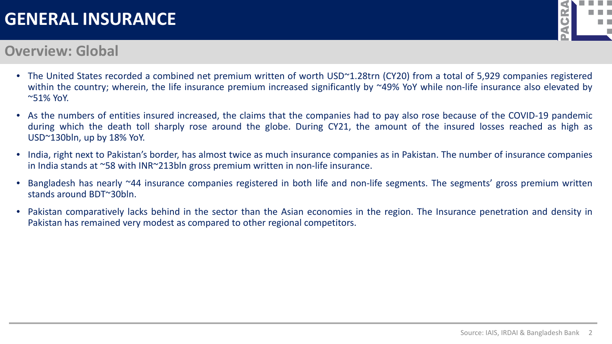

#### **Overview: Global**

- The United States recorded a combined net premium written of worth USD~1.28trn (CY20) from a total of 5,929 companies registered within the country; wherein, the life insurance premium increased significantly by ~49% YoY while non-life insurance also elevated by ~51% YoY.
- As the numbers of entities insured increased, the claims that the companies had to pay also rose because of the COVID-19 pandemic during which the death toll sharply rose around the globe. During CY21, the amount of the insured losses reached as high as USD~130bln, up by 18% YoY.
- India, right next to Pakistan's border, has almost twice as much insurance companies as in Pakistan. The number of insurance companies in India stands at ~58 with INR~213bln gross premium written in non-life insurance.
- Bangladesh has nearly ~44 insurance companies registered in both life and non-life segments. The segments' gross premium written stands around BDT~30bln.
- Pakistan comparatively lacks behind in the sector than the Asian economies in the region. The Insurance penetration and density in Pakistan has remained very modest as compared to other regional competitors.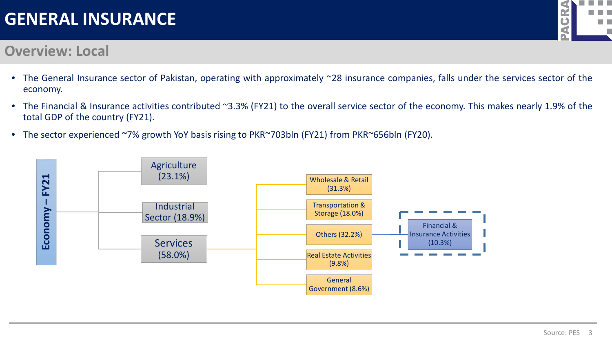

#### **Overview: Local**

- The General Insurance sector of Pakistan, operating with approximately ~28 insurance companies, falls under the services sector of the economy.
- The Financial & Insurance activities contributed ~3.3% (FY21) to the overall service sector of the economy. This makes nearly 1.9% of the total GDP of the country (FY21).
- The sector experienced ~7% growth YoY basis rising to PKR~703bln (FY21) from PKR~656bln (FY20).

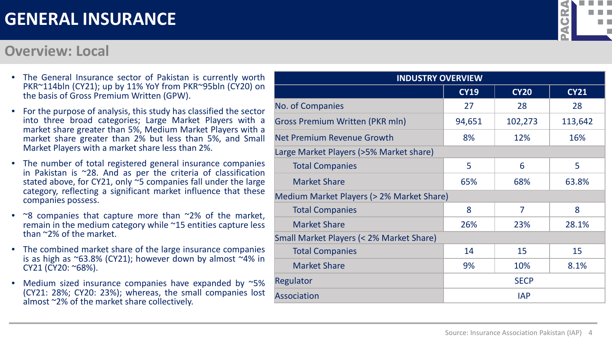#### **Overview: Local**

| <b>INDUSTRY OVERVIEW</b>                  |                   |             |             |  |  |  |
|-------------------------------------------|-------------------|-------------|-------------|--|--|--|
|                                           | <b>CY19</b>       | <b>CY20</b> | <b>CY21</b> |  |  |  |
| No. of Companies                          | 27                | 28          | 28          |  |  |  |
| <b>Gross Premium Written (PKR mln)</b>    | 94,651            | 102,273     | 113,642     |  |  |  |
| Net Premium Revenue Growth                | 8%                | 12%         | 16%         |  |  |  |
| Large Market Players (>5% Market share)   |                   |             |             |  |  |  |
| <b>Total Companies</b>                    | 5                 | 6           | 5           |  |  |  |
| <b>Market Share</b>                       | 65%               | 68%         | 63.8%       |  |  |  |
| Medium Market Players (> 2% Market Share) |                   |             |             |  |  |  |
| <b>Total Companies</b>                    | 8                 | 7           | 8           |  |  |  |
| <b>Market Share</b>                       | 26%               | 23%         | 28.1%       |  |  |  |
| Small Market Players (< 2% Market Share)  |                   |             |             |  |  |  |
| <b>Total Companies</b>                    | 14                | 15          | 15          |  |  |  |
| <b>Market Share</b>                       | 9%<br>10%<br>8.1% |             |             |  |  |  |
| Regulator                                 | <b>SECP</b>       |             |             |  |  |  |
| <b>Association</b>                        |                   | <b>IAP</b>  |             |  |  |  |

- The General Insurance sector of Pakistan is currently worth PKR~114bln (CY21); up by 11% YoY from PKR~95bln (CY20) on the basis of Gross Premium Written (GPW).
- For the purpose of analysis, this study has classified the sector into three broad categories; Large Market Players with a market share greater than 5%, Medium Market Players with a market share greater than 2% but less than 5%, and Small Market Players with a market share less than 2%.
- The number of total registered general insurance companies in Pakistan is  $\approx$ 28. And as per the criteria of classification stated above, for CY21, only ~5 companies fall under the large category, reflecting a significant market influence that these companies possess.
- ~8 companies that capture more than ~2% of the market, remain in the medium category while ~15 entities capture less than ~2% of the market.
- The combined market share of the large insurance companies is as high as  $\sim$ 63.8% (CY21); however down by almost  $\sim$ 4% in CY21 (CY20: ~68%).
- Medium sized insurance companies have expanded by ~5% (CY21: 28%; CY20: 23%); whereas, the small companies lost almost ~2% of the market share collectively.

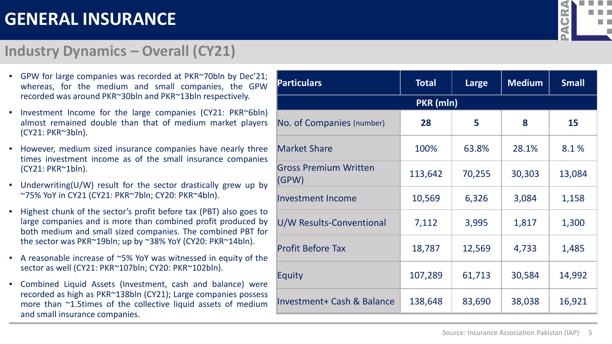#### **Industry Dynamics – Overall (CY21)**

| <b>Particulars</b>                    | <b>Total</b> | Large  | <b>Medium</b> | <b>Small</b> |
|---------------------------------------|--------------|--------|---------------|--------------|
|                                       | PKR (mln)    |        |               |              |
| No. of Companies (number)             | 28           | 5      | 8             | 15           |
| <b>Market Share</b>                   | 100%         | 63.8%  | 28.1%         | 8.1%         |
| <b>Gross Premium Written</b><br>(GPW) | 113,642      | 70,255 | 30,303        | 13,084       |
| <b>Investment Income</b>              | 10,569       | 6,326  | 3,084         | 1,158        |
| U/W Results-Conventional              | 7,112        | 3,995  | 1,817         | 1,300        |
| <b>Profit Before Tax</b>              | 18,787       | 12,569 | 4,733         | 1,485        |
| Equity                                | 107,289      | 61,713 | 30,584        | 14,992       |
| Investment+ Cash & Balance            | 138,648      | 83,690 | 38,038        | 16,921       |

- GPW for large companies was recorded at PKR~70bln by Dec'21; whereas, for the medium and small companies, the GPW recorded was around PKR~30bln and PKR~13bln respectively.
- Investment Income for the large companies (CY21: PKR~6bln) almost remained double than that of medium market players (CY21: PKR~3bln).
- However, medium sized insurance companies have nearly three times investment income as of the small insurance companies (CY21: PKR~1bln).
- Underwriting(U/W) result for the sector drastically grew up by ~75% YoY in CY21 (CY21: PKR~7bln; CY20: PKR~4bln).
- Highest chunk of the sector's profit before tax (PBT) also goes to large companies and is more than combined profit produced by both medium and small sized companies. The combined PBT for the sector was PKR~19bln; up by ~38% YoY (CY20: PKR~14bln).
- A reasonable increase of ~5% YoY was witnessed in equity of the sector as well (CY21: PKR~107bln; CY20: PKR~102bln).
- Combined Liquid Assets (Investment, cash and balance) were recorded as high as PKR~138bln (CY21); Large companies possess more than ~1.5times of the collective liquid assets of medium and small insurance companies.

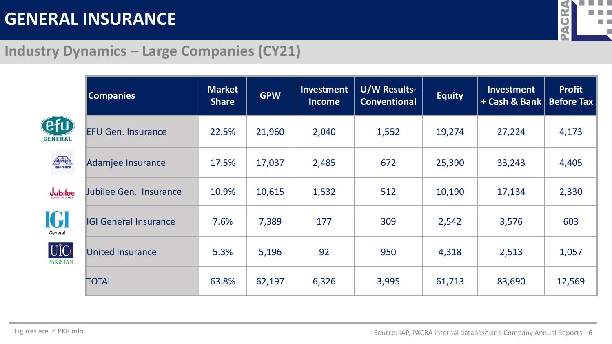

### **Industry Dynamics – Large Companies (CY21)**

|                               | <b>Companies</b>             | <b>Market</b><br><b>Share</b> | <b>GPW</b> | Investment<br><b>Income</b> | <b>U/W Results-</b><br><b>Conventional</b> | <b>Equity</b> | Investment<br>+ Cash & Bank   Before Tax | <b>Profit</b> |
|-------------------------------|------------------------------|-------------------------------|------------|-----------------------------|--------------------------------------------|---------------|------------------------------------------|---------------|
| (efu)<br><b>GENERAL</b>       | <b>EFU Gen. Insurance</b>    | 22.5%                         | 21,960     | 2,040                       | 1,552                                      | 19,274        | 27,224                                   | 4,173         |
| adamiee                       | Adamjee Insurance            | 17.5%                         | 17,037     | 2,485                       | 672                                        | 25,390        | 33,243                                   | 4,405         |
| <b>Jubilee</b>                | Jubilee Gen. Insurance       | 10.9%                         | 10,615     | 1,532                       | 512                                        | 10,190        | 17,134                                   | 2,330         |
| <b>IGI</b><br>General         | <b>IGI General Insurance</b> | 7.6%                          | 7,389      | 177                         | 309                                        | 2,542         | 3,576                                    | 603           |
| <b>UIC</b><br><b>PAKISTAN</b> | <b>United Insurance</b>      | 5.3%                          | 5,196      | 92                          | 950                                        | 4,318         | 2,513                                    | 1,057         |
|                               | <b>TOTAL</b>                 | 63.8%                         | 62,197     | 6,326                       | 3,995                                      | 61,713        | 83,690                                   | 12,569        |

Figures are in PKR mln **EXA internal database and Company Annual Reports** 6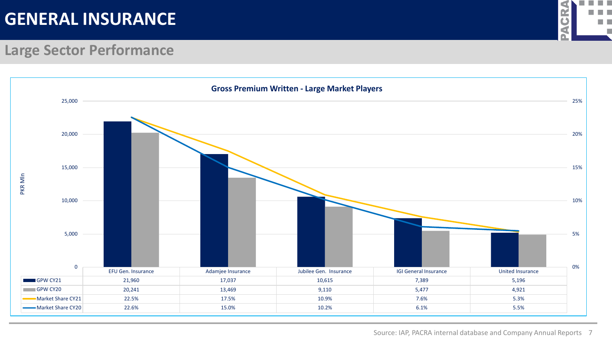

#### **Large Sector Performance**

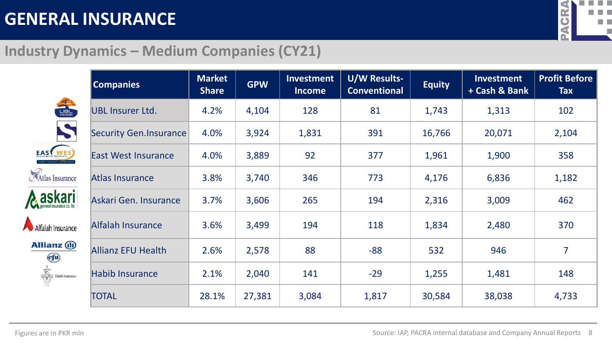

### **Industry Dynamics – Medium Companies (CY21)**

|                                                                                                                                                                                                                                                                                                                                                     | <b>Companies</b>           | <b>Market</b><br><b>Share</b> | <b>GPW</b> | Investment<br><b>Income</b> | U/W Results-<br><b>Conventional</b> | <b>Equity</b> | Investment<br>+ Cash & Bank | <b>Profit Before</b><br><b>Tax</b> |
|-----------------------------------------------------------------------------------------------------------------------------------------------------------------------------------------------------------------------------------------------------------------------------------------------------------------------------------------------------|----------------------------|-------------------------------|------------|-----------------------------|-------------------------------------|---------------|-----------------------------|------------------------------------|
| NEWSTERS                                                                                                                                                                                                                                                                                                                                            | <b>UBL Insurer Ltd.</b>    | 4.2%                          | 4,104      | 128                         | 81                                  | 1,743         | 1,313                       | 102                                |
| $\boldsymbol{\zeta}$                                                                                                                                                                                                                                                                                                                                | Security Gen.Insurance     | 4.0%                          | 3,924      | 1,831                       | 391                                 | 16,766        | 20,071                      | 2,104                              |
| <b>EAST WES</b>                                                                                                                                                                                                                                                                                                                                     | <b>East West Insurance</b> | 4.0%                          | 3,889      | 92                          | 377                                 | 1,961         | 1,900                       | 358                                |
| Atlas Insurance                                                                                                                                                                                                                                                                                                                                     | Atlas Insurance            | 3.8%                          | 3,740      | 346                         | 773                                 | 4,176         | 6,836                       | 1,182                              |
| <b>askari</b>                                                                                                                                                                                                                                                                                                                                       | Askari Gen. Insurance      | 3.7%                          | 3,606      | 265                         | 194                                 | 2,316         | 3,009                       | 462                                |
| Alfalah Insurance                                                                                                                                                                                                                                                                                                                                   | <b>Alfalah Insurance</b>   | 3.6%                          | 3,499      | 194                         | 118                                 | 1,834         | 2,480                       | 370                                |
| <b>Allianz</b> (ii)<br><b>Efu</b>                                                                                                                                                                                                                                                                                                                   | <b>Allianz EFU Health</b>  | 2.6%                          | 2,578      | 88                          | $-88$                               | 532           | 946                         | 7                                  |
| $\begin{picture}(120,110) \put(0,0){\line(1,0){10}} \put(15,0){\line(1,0){10}} \put(15,0){\line(1,0){10}} \put(15,0){\line(1,0){10}} \put(15,0){\line(1,0){10}} \put(15,0){\line(1,0){10}} \put(15,0){\line(1,0){10}} \put(15,0){\line(1,0){10}} \put(15,0){\line(1,0){10}} \put(15,0){\line(1,0){10}} \put(15,0){\line(1,0){10}} \put(15,0){\line$ | <b>Habib Insurance</b>     | 2.1%                          | 2,040      | 141                         | $-29$                               | 1,255         | 1,481                       | 148                                |
|                                                                                                                                                                                                                                                                                                                                                     | <b>TOTAL</b>               | 28.1%                         | 27,381     | 3,084                       | 1,817                               | 30,584        | 38,038                      | 4,733                              |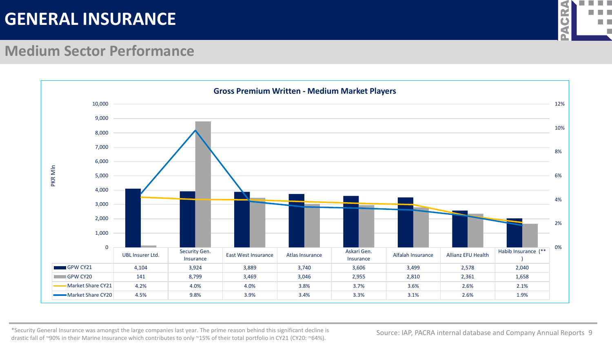

#### **Medium Sector Performance**



\*Security General Insurance was amongst the large companies last year. The prime reason behind this significant decline is drastic fall of ~90% in their Marine Insurance which contributes to only ~15% of their total portfolio in CY21 (CY20: ~64%).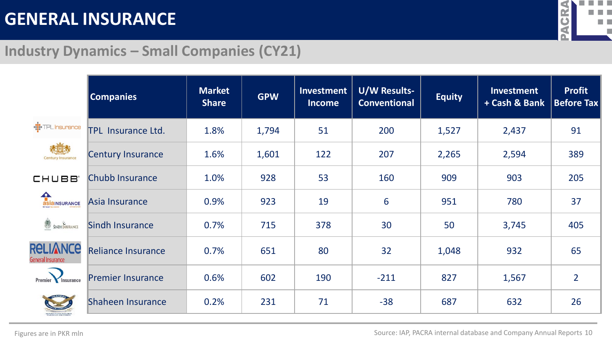

### **Industry Dynamics – Small Companies (CY21)**

|                                      | <b>Companies</b>          | <b>Market</b><br><b>Share</b> | <b>GPW</b> | Investment<br><b>Income</b> | <b>U/W Results-</b><br><b>Conventional</b> | <b>Equity</b> | Investment<br>+ Cash & Bank | <b>Profit</b><br><b>Before Tax</b> |
|--------------------------------------|---------------------------|-------------------------------|------------|-----------------------------|--------------------------------------------|---------------|-----------------------------|------------------------------------|
| - <sup>1</sup> :TPL Insurance        | <b>TPL Insurance Ltd.</b> | 1.8%                          | 1,794      | 51                          | 200                                        | 1,527         | 2,437                       | 91                                 |
| <b>Century Insurance</b>             | <b>Century Insurance</b>  | 1.6%                          | 1,601      | 122                         | 207                                        | 2,265         | 2,594                       | 389                                |
| <b>CHUBB</b>                         | Chubb Insurance           | 1.0%                          | 928        | 53                          | 160                                        | 909           | 903                         | 205                                |
| ASIAINSURANCE                        | Asia Insurance            | 0.9%                          | 923        | 19                          | 6                                          | 951           | 780                         | 37                                 |
| SINDH INSURANCE                      | <b>Sindh Insurance</b>    | 0.7%                          | 715        | 378                         | 30                                         | 50            | 3,745                       | 405                                |
| <b>RELIANCE</b><br>General Insurance | <b>Reliance Insurance</b> | 0.7%                          | 651        | 80                          | 32                                         | 1,048         | 932                         | 65                                 |
| Premier<br>Insurance                 | <b>Premier Insurance</b>  | 0.6%                          | 602        | 190                         | $-211$                                     | 827           | 1,567                       | $\overline{2}$                     |
|                                      | Shaheen Insurance         | 0.2%                          | 231        | 71                          | $-38$                                      | 687           | 632                         | 26                                 |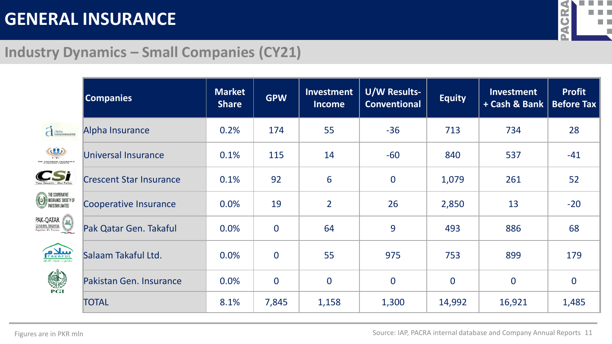

### **Industry Dynamics – Small Companies (CY21)**

|                                                                                                                                                                                       | <b>Companies</b>               | <b>Market</b><br><b>Share</b> | <b>GPW</b>     | Investment<br><b>Income</b> | <b>U/W Results-</b><br><b>Conventional</b> | <b>Equity</b>  | Investment<br>+ Cash & Bank | <b>Profit</b><br><b>Before Tax</b> |
|---------------------------------------------------------------------------------------------------------------------------------------------------------------------------------------|--------------------------------|-------------------------------|----------------|-----------------------------|--------------------------------------------|----------------|-----------------------------|------------------------------------|
| dipha                                                                                                                                                                                 | Alpha Insurance                | 0.2%                          | 174            | 55                          | $-36$                                      | 713            | 734                         | 28                                 |
| (d)<br>TIC                                                                                                                                                                            | Universal Insurance            | 0.1%                          | 115            | 14                          | $-60$                                      | 840            | 537                         | $-41$                              |
|                                                                                                                                                                                       | <b>Crescent Star Insurance</b> | 0.1%                          | 92             | 6                           | $\bf{0}$                                   | 1,079          | 261                         | 52                                 |
| THE COOPERATIVE<br>INSURANCE SOCIETY OF<br>PAKISTAN LIMITED                                                                                                                           | Cooperative Insurance          | 0.0%                          | 19             | $\overline{2}$              | 26                                         | 2,850          | 13                          | $-20$                              |
| $\left. \begin{array}{l l} \textsf{PAK-QATAR} & \textsf{fall} \\ \textsf{GENERAL TAKAFUL} & \textsf{fall} \\ \hline \textsf{Together We Protest} & \textsf{fall} \end{array} \right)$ | Pak Qatar Gen. Takaful         | 0.0%                          | $\overline{0}$ | 64                          | 9                                          | 493            | 886                         | 68                                 |
| TAKAFUL                                                                                                                                                                               | Salaam Takaful Ltd.            | 0.0%                          | $\overline{0}$ | 55                          | 975                                        | 753            | 899                         | 179                                |
| S                                                                                                                                                                                     | Pakistan Gen. Insurance        | 0.0%                          | $\overline{0}$ | $\overline{0}$              | $\overline{0}$                             | $\overline{0}$ | $\overline{0}$              | $\overline{0}$                     |
|                                                                                                                                                                                       | <b>TOTAL</b>                   | 8.1%                          | 7,845          | 1,158                       | 1,300                                      | 14,992         | 16,921                      | 1,485                              |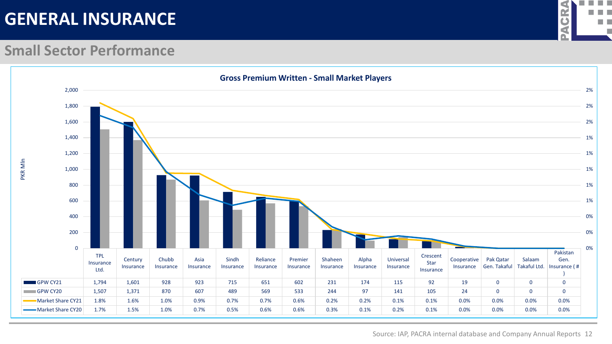

#### **Small Sector Performance**

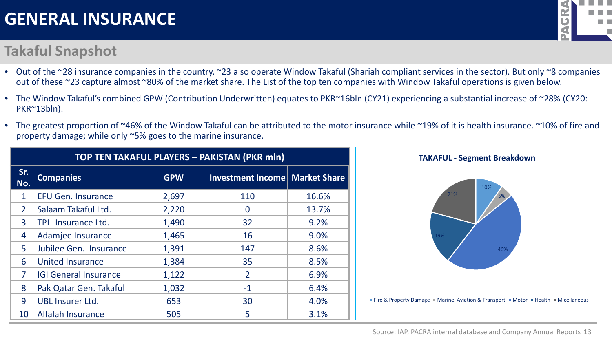### **Takaful Snapshot**



- Out of the ~28 insurance companies in the country, ~23 also operate Window Takaful (Shariah compliant services in the sector). But only ~8 companies out of these ~23 capture almost ~80% of the market share. The List of the top ten companies with Window Takaful operations is given below.
- The Window Takaful's combined GPW (Contribution Underwritten) equates to PKR~16bln (CY21) experiencing a substantial increase of ~28% (CY20: PKR~13bln).
- The greatest proportion of ~46% of the Window Takaful can be attributed to the motor insurance while ~19% of it is health insurance. ~10% of fire and property damage; while only ~5% goes to the marine insurance.

| TOP TEN TAKAFUL PLAYERS - PAKISTAN (PKR mln) |                              |            |                                  |       |  |  |  |  |
|----------------------------------------------|------------------------------|------------|----------------------------------|-------|--|--|--|--|
| Sr.<br>No.                                   | <b>Companies</b>             | <b>GPW</b> | Investment Income   Market Share |       |  |  |  |  |
| $\mathbf{1}$                                 | <b>EFU Gen. Insurance</b>    | 2,697      | 110                              | 16.6% |  |  |  |  |
| $\overline{2}$                               | Salaam Takaful Ltd.          | 2,220      | 0                                | 13.7% |  |  |  |  |
| 3                                            | <b>TPL Insurance Ltd.</b>    | 1,490      | 32                               | 9.2%  |  |  |  |  |
| 4                                            | Adamjee Insurance            | 1,465      | 16                               | 9.0%  |  |  |  |  |
| 5                                            | Jubilee Gen. Insurance       | 1,391      | 147                              | 8.6%  |  |  |  |  |
| 6                                            | <b>United Insurance</b>      | 1,384      | 35                               | 8.5%  |  |  |  |  |
| $\overline{7}$                               | <b>IGI General Insurance</b> | 1,122      | $\overline{2}$                   | 6.9%  |  |  |  |  |
| 8                                            | Pak Qatar Gen. Takaful       | 1,032      | $-1$                             | 6.4%  |  |  |  |  |
| 9                                            | <b>UBL Insurer Ltd.</b>      | 653        | 30                               | 4.0%  |  |  |  |  |
| 10                                           | Alfalah Insurance            | 505        | 5                                | 3.1%  |  |  |  |  |

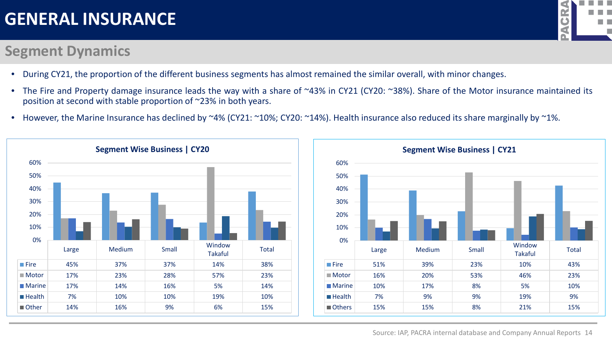### **Segment Dynamics**



- During CY21, the proportion of the different business segments has almost remained the similar overall, with minor changes.
- The Fire and Property damage insurance leads the way with a share of ~43% in CY21 (CY20: ~38%). Share of the Motor insurance maintained its position at second with stable proportion of ~23% in both years.
- However, the Marine Insurance has declined by ~4% (CY21: ~10%; CY20: ~14%). Health insurance also reduced its share marginally by ~1%.

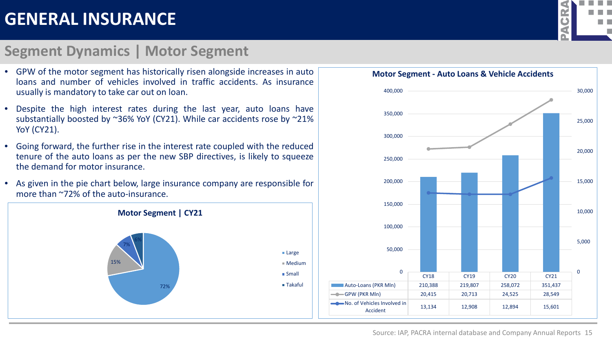#### **Segment Dynamics | Motor Segment**





• GPW of the motor segment has historically risen alongside increases in auto loans and number of vehicles involved in traffic accidents. As insurance usually is mandatory to take car out on loan.

- Despite the high interest rates during the last year, auto loans have substantially boosted by ~36% YoY (CY21). While car accidents rose by ~21% YoY (CY21).
- Going forward, the further rise in the interest rate coupled with the reduced tenure of the auto loans as per the new SBP directives, is likely to squeeze the demand for motor insurance.
- As given in the pie chart below, large insurance company are responsible for more than ~72% of the auto-insurance.

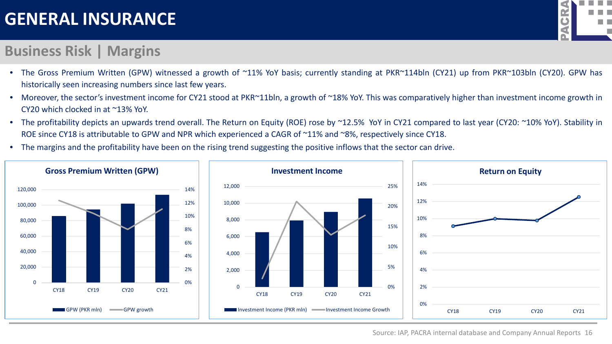#### **Business Risk | Margins**

- The Gross Premium Written (GPW) witnessed a growth of ~11% YoY basis; currently standing at PKR~114bln (CY21) up from PKR~103bln (CY20). GPW has historically seen increasing numbers since last few years.
- Moreover, the sector's investment income for CY21 stood at PKR~11bln, a growth of ~18% YoY. This was comparatively higher than investment income growth in CY20 which clocked in at ~13% YoY.
- The profitability depicts an upwards trend overall. The Return on Equity (ROE) rose by ~12.5% YoY in CY21 compared to last year (CY20: ~10% YoY). Stability in ROE since CY18 is attributable to GPW and NPR which experienced a CAGR of ~11% and ~8%, respectively since CY18.
- The margins and the profitability have been on the rising trend suggesting the positive inflows that the sector can drive.





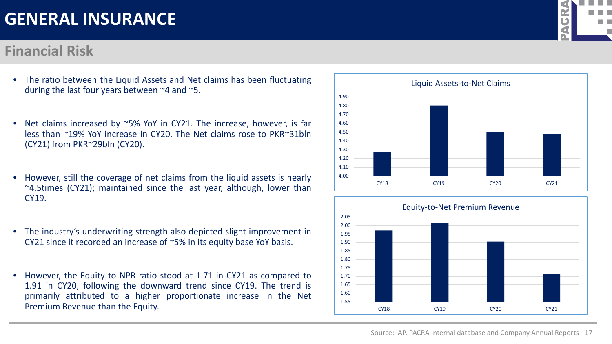#### **Financial Risk**

- The ratio between the Liquid Assets and Net claims has been fluctuating during the last four years between ~4 and ~5.
- Net claims increased by ~5% YoY in CY21. The increase, however, is far less than ~19% YoY increase in CY20. The Net claims rose to PKR~31bln (CY21) from PKR~29bln (CY20).
- However, still the coverage of net claims from the liquid assets is nearly ~4.5times (CY21); maintained since the last year, although, lower than CY19.
- The industry's underwriting strength also depicted slight improvement in CY21 since it recorded an increase of ~5% in its equity base YoY basis.
- However, the Equity to NPR ratio stood at 1.71 in CY21 as compared to 1.91 in CY20, following the downward trend since CY19. The trend is primarily attributed to a higher proportionate increase in the Net Premium Revenue than the Equity.





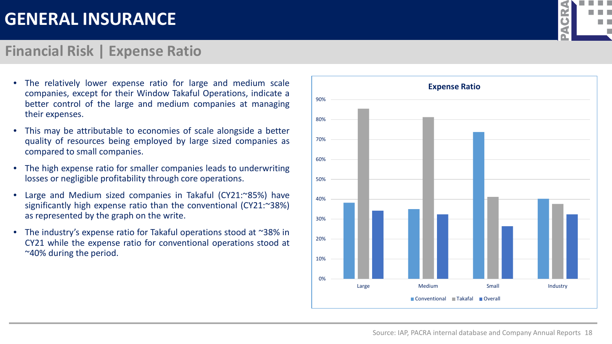#### **Financial Risk | Expense Ratio**

- The relatively lower expense ratio for large and medium scale companies, except for their Window Takaful Operations, indicate a better control of the large and medium companies at managing their expenses.
- This may be attributable to economies of scale alongside a better quality of resources being employed by large sized companies as compared to small companies.
- The high expense ratio for smaller companies leads to underwriting losses or negligible profitability through core operations.
- Large and Medium sized companies in Takaful (CY21:~85%) have significantly high expense ratio than the conventional (CY21:~38%) as represented by the graph on the write.
- The industry's expense ratio for Takaful operations stood at ~38% in CY21 while the expense ratio for conventional operations stood at ~40% during the period.





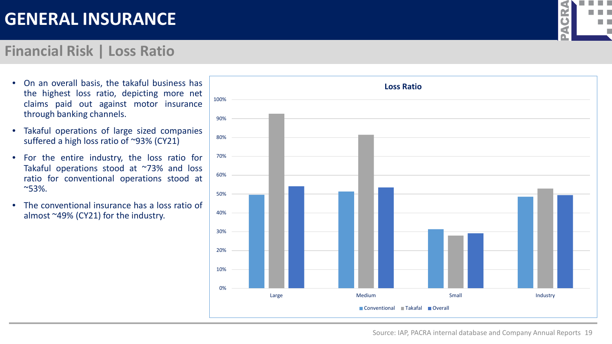### **Financial Risk | Loss Ratio**



- On an overall basis, the takaful business has the highest loss ratio, depicting more net claims paid out against motor insurance through banking channels.
- Takaful operations of large sized companies suffered a high loss ratio of ~93% (CY21)
- For the entire industry, the loss ratio for Takaful operations stood at ~73% and loss ratio for conventional operations stood at ~53%.
- The conventional insurance has a loss ratio of almost ~49% (CY21) for the industry.

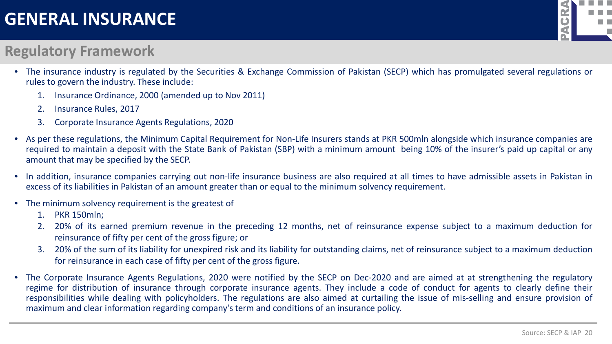## $\bullet$ martin

### **Regulatory Framework**

- The insurance industry is regulated by the Securities & Exchange Commission of Pakistan (SECP) which has promulgated several regulations or rules to govern the industry. These include:
	- 1. Insurance Ordinance, 2000 (amended up to Nov 2011)
	- 2. Insurance Rules, 2017
	- 3. Corporate Insurance Agents Regulations, 2020
- As per these regulations, the Minimum Capital Requirement for Non-Life Insurers stands at PKR 500mln alongside which insurance companies are required to maintain a deposit with the State Bank of Pakistan (SBP) with a minimum amount being 10% of the insurer's paid up capital or any amount that may be specified by the SECP.
- In addition, insurance companies carrying out non-life insurance business are also required at all times to have admissible assets in Pakistan in excess of its liabilities in Pakistan of an amount greater than or equal to the minimum solvency requirement.
- The minimum solvency requirement is the greatest of
	- 1. PKR 150mln;
	- 2. 20% of its earned premium revenue in the preceding 12 months, net of reinsurance expense subject to a maximum deduction for reinsurance of fifty per cent of the gross figure; or
	- 3. 20% of the sum of its liability for unexpired risk and its liability for outstanding claims, net of reinsurance subject to a maximum deduction for reinsurance in each case of fifty per cent of the gross figure.
- The Corporate Insurance Agents Regulations, 2020 were notified by the SECP on Dec-2020 and are aimed at at strengthening the regulatory regime for distribution of insurance through corporate insurance agents. They include a code of conduct for agents to clearly define their responsibilities while dealing with policyholders. The regulations are also aimed at curtailing the issue of mis-selling and ensure provision of maximum and clear information regarding company's term and conditions of an insurance policy.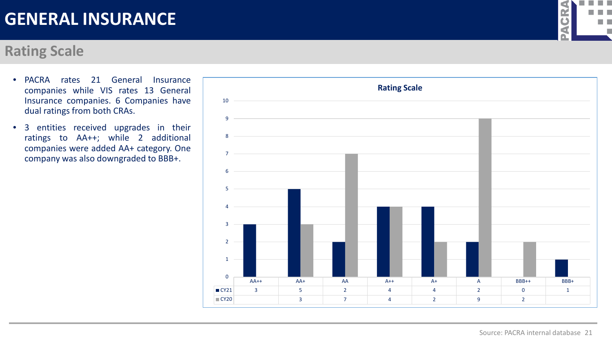#### **Rating Scale**

- PACRA rates 21 General Insurance companies while VIS rates 13 General Insurance companies. 6 Companies have dual ratings from both CRAs.
- 3 entities received upgrades in their ratings to AA++; while 2 additional companies were added AA+ category. One company was also downgraded to BBB+.



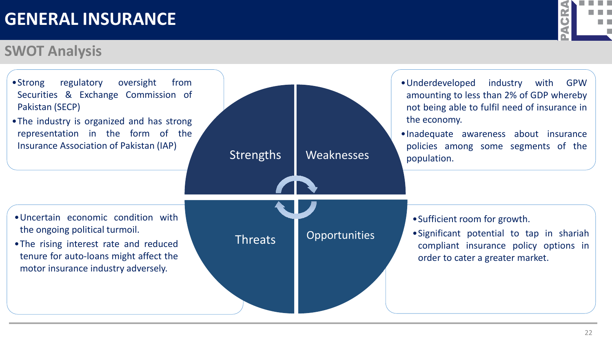### **SWOT Analysis**



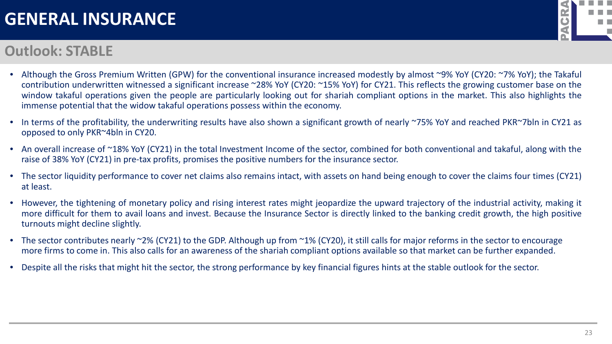#### **Outlook: STABLE**

- CR m n
- Although the Gross Premium Written (GPW) for the conventional insurance increased modestly by almost ~9% YoY (CY20: ~7% YoY); the Takaful contribution underwritten witnessed a significant increase ~28% YoY (CY20: ~15% YoY) for CY21. This reflects the growing customer base on the window takaful operations given the people are particularly looking out for shariah compliant options in the market. This also highlights the immense potential that the widow takaful operations possess within the economy.
- In terms of the profitability, the underwriting results have also shown a significant growth of nearly ~75% YoY and reached PKR~7bln in CY21 as opposed to only PKR~4bln in CY20.
- An overall increase of ~18% YoY (CY21) in the total Investment Income of the sector, combined for both conventional and takaful, along with the raise of 38% YoY (CY21) in pre-tax profits, promises the positive numbers for the insurance sector.
- The sector liquidity performance to cover net claims also remains intact, with assets on hand being enough to cover the claims four times (CY21) at least.
- However, the tightening of monetary policy and rising interest rates might jeopardize the upward trajectory of the industrial activity, making it more difficult for them to avail loans and invest. Because the Insurance Sector is directly linked to the banking credit growth, the high positive turnouts might decline slightly.
- The sector contributes nearly ~2% (CY21) to the GDP. Although up from ~1% (CY20), it still calls for major reforms in the sector to encourage more firms to come in. This also calls for an awareness of the shariah compliant options available so that market can be further expanded.
- Despite all the risks that might hit the sector, the strong performance by key financial figures hints at the stable outlook for the sector.